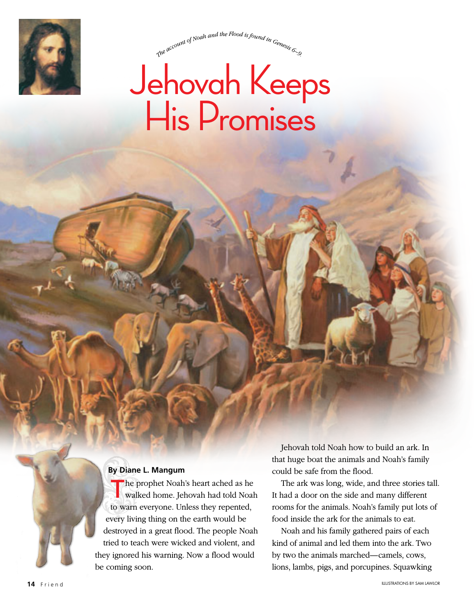

The account of Noah and the Flood is found in Genevico

# Jehovah Keeps His Promises

### **By Diane L. Mangum**

The prophet Noah's heart ached as he walked home. Jehovah had told Noah to warn everyone. Unless they repented, every living thing on the earth would be destroyed in a great flood. The people Noah tried to teach were wicked and violent, and they ignored his warning. Now a flood would be coming soon.

Jehovah told Noah how to build an ark. In that huge boat the animals and Noah's family could be safe from the flood.

The ark was long, wide, and three stories tall. It had a door on the side and many different rooms for the animals. Noah's family put lots of food inside the ark for the animals to eat.

Noah and his family gathered pairs of each kind of animal and led them into the ark. Two by two the animals marched—camels, cows, lions, lambs, pigs, and porcupines. Squawking